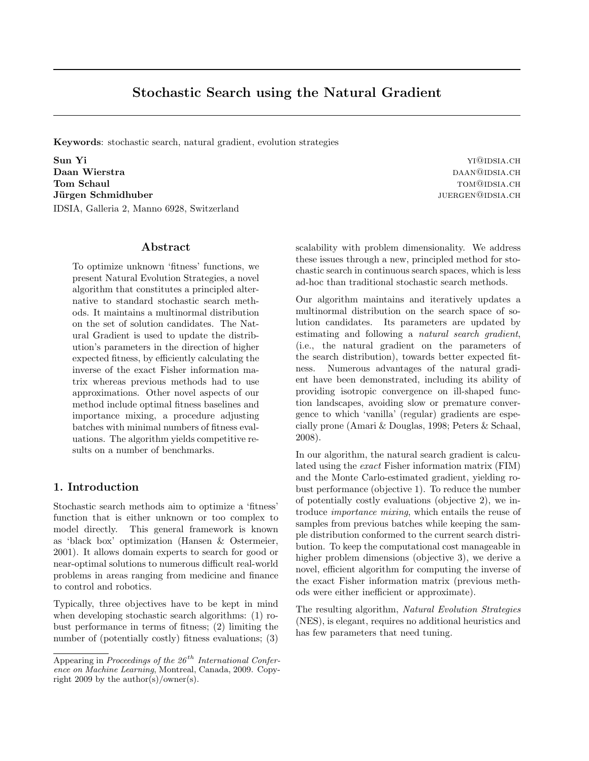Keywords: stochastic search, natural gradient, evolution strategies

Sun Yi **William Sun Yi Gullet All Allen** Sun Yi Guldsia.ch Daan Wierstra daan@idsia.ch Tom Schaul Tomagnet Channels and Tomagnet Channels Tomagnet Channels Tomagnet Channels Tomagnet Channels Tomagnet Channels Tomagnet Channels Tomagnet Channels Tomagnet Channels Tomagnet Channels Tomagnet Channels Tomagnet Jürgen Schmidhuber ist eine seiten ausgesetzte der Schmidhuber ist eine seiten ausgesetzte der Schmidhuber ist eine seiten ausgesetzte der Schmidtung ausgesetzte der Schmidtung ausgesetzte der Schmidtung ausgesetzte der Sc IDSIA, Galleria 2, Manno 6928, Switzerland

## Abstract

To optimize unknown 'fitness' functions, we present Natural Evolution Strategies, a novel algorithm that constitutes a principled alternative to standard stochastic search methods. It maintains a multinormal distribution on the set of solution candidates. The Natural Gradient is used to update the distribution's parameters in the direction of higher expected fitness, by efficiently calculating the inverse of the exact Fisher information matrix whereas previous methods had to use approximations. Other novel aspects of our method include optimal fitness baselines and importance mixing, a procedure adjusting batches with minimal numbers of fitness evaluations. The algorithm yields competitive results on a number of benchmarks.

## 1. Introduction

Stochastic search methods aim to optimize a 'fitness' function that is either unknown or too complex to model directly. This general framework is known as 'black box' optimization (Hansen & Ostermeier, 2001). It allows domain experts to search for good or near-optimal solutions to numerous difficult real-world problems in areas ranging from medicine and finance to control and robotics.

Typically, three objectives have to be kept in mind when developing stochastic search algorithms: (1) robust performance in terms of fitness; (2) limiting the number of (potentially costly) fitness evaluations; (3)

scalability with problem dimensionality. We address these issues through a new, principled method for stochastic search in continuous search spaces, which is less ad-hoc than traditional stochastic search methods.

Our algorithm maintains and iteratively updates a multinormal distribution on the search space of solution candidates. Its parameters are updated by estimating and following a natural search gradient, (i.e., the natural gradient on the parameters of the search distribution), towards better expected fitness. Numerous advantages of the natural gradient have been demonstrated, including its ability of providing isotropic convergence on ill-shaped function landscapes, avoiding slow or premature convergence to which 'vanilla' (regular) gradients are especially prone (Amari & Douglas, 1998; Peters & Schaal, 2008).

In our algorithm, the natural search gradient is calculated using the exact Fisher information matrix (FIM) and the Monte Carlo-estimated gradient, yielding robust performance (objective 1). To reduce the number of potentially costly evaluations (objective 2), we introduce importance mixing, which entails the reuse of samples from previous batches while keeping the sample distribution conformed to the current search distribution. To keep the computational cost manageable in higher problem dimensions (objective 3), we derive a novel, efficient algorithm for computing the inverse of the exact Fisher information matrix (previous methods were either inefficient or approximate).

The resulting algorithm, Natural Evolution Strategies (NES), is elegant, requires no additional heuristics and has few parameters that need tuning.

Appearing in Proceedings of the  $26<sup>th</sup>$  International Conference on Machine Learning, Montreal, Canada, 2009. Copyright 2009 by the author(s)/owner(s).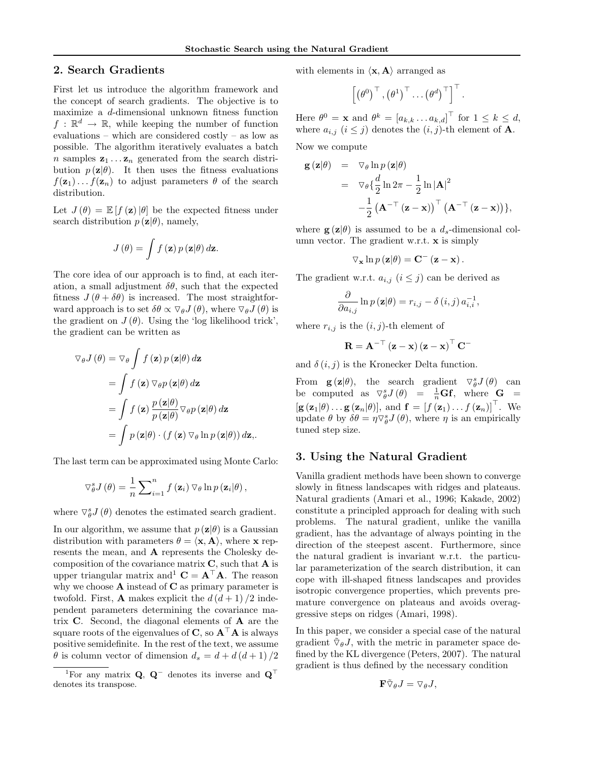# 2. Search Gradients

First let us introduce the algorithm framework and the concept of search gradients. The objective is to maximize a d-dimensional unknown fitness function  $f: \mathbb{R}^d \to \mathbb{R}$ , while keeping the number of function evaluations – which are considered costly – as low as possible. The algorithm iteratively evaluates a batch n samples  $z_1 \ldots z_n$  generated from the search distribution  $p(\mathbf{z}|\theta)$ . It then uses the fitness evaluations  $f(\mathbf{z}_1) \dots f(\mathbf{z}_n)$  to adjust parameters  $\theta$  of the search distribution.

Let  $J(\theta) = \mathbb{E}[f(\mathbf{z})|\theta]$  be the expected fitness under search distribution  $p(\mathbf{z}|\theta)$ , namely,

$$
J(\theta) = \int f(\mathbf{z}) p(\mathbf{z}|\theta) d\mathbf{z}.
$$

The core idea of our approach is to find, at each iteration, a small adjustment  $\delta\theta$ , such that the expected fitness  $J(\theta + \delta\theta)$  is increased. The most straightforward approach is to set  $\delta\theta \propto \nabla_{\theta} J(\theta)$ , where  $\nabla_{\theta} J(\theta)$  is the gradient on  $J(\theta)$ . Using the 'log likelihood trick', the gradient can be written as

$$
\nabla_{\theta} J(\theta) = \nabla_{\theta} \int f(\mathbf{z}) p(\mathbf{z}|\theta) d\mathbf{z}
$$
  
= 
$$
\int f(\mathbf{z}) \nabla_{\theta} p(\mathbf{z}|\theta) d\mathbf{z}
$$
  
= 
$$
\int f(\mathbf{z}) \frac{p(\mathbf{z}|\theta)}{p(\mathbf{z}|\theta)} \nabla_{\theta} p(\mathbf{z}|\theta) d\mathbf{z}
$$
  
= 
$$
\int p(\mathbf{z}|\theta) \cdot (f(\mathbf{z}) \nabla_{\theta} \ln p(\mathbf{z}|\theta)) d\mathbf{z},
$$

The last term can be approximated using Monte Carlo:

$$
\nabla_{\theta}^{s} J(\theta) = \frac{1}{n} \sum_{i=1}^{n} f(\mathbf{z}_{i}) \nabla_{\theta} \ln p(\mathbf{z}_{i} | \theta),
$$

where  $\nabla_{\theta}^{s} J(\theta)$  denotes the estimated search gradient.

In our algorithm, we assume that  $p(\mathbf{z}|\theta)$  is a Gaussian distribution with parameters  $\theta = \langle \mathbf{x}, \mathbf{A} \rangle$ , where x represents the mean, and A represents the Cholesky decomposition of the covariance matrix  $C$ , such that  $A$  is upper triangular matrix and  $\mathbf{C} = \mathbf{A}^{\top} \mathbf{A}$ . The reason why we choose  $A$  instead of  $C$  as primary parameter is twofold. First, **A** makes explicit the  $d(d+1)/2$  independent parameters determining the covariance matrix  $C$ . Second, the diagonal elements of  $A$  are the square roots of the eigenvalues of C, so  $A^{\top}A$  is always positive semidefinite. In the rest of the text, we assume  $\theta$  is column vector of dimension  $d_s = d + d(d+1)/2$  with elements in  $\langle \mathbf{x}, \mathbf{A} \rangle$  arranged as

$$
\left[\left(\theta^0\right)^{\top}, \left(\theta^1\right)^{\top} \dots \left(\theta^d\right)^{\top}\right]^{\top}.
$$

Here  $\theta^0 = \mathbf{x}$  and  $\theta^k = [a_{k,k} \dots a_{k,d}]^\top$  for  $1 \leq k \leq d$ , where  $a_{i,j}$   $(i \leq j)$  denotes the  $(i, j)$ -th element of **A**.

Now we compute

$$
\mathbf{g}(\mathbf{z}|\theta) = \nabla_{\theta} \ln p(\mathbf{z}|\theta)
$$
  
\n
$$
= \nabla_{\theta} \left\{ \frac{d}{2} \ln 2\pi - \frac{1}{2} \ln |\mathbf{A}|^2 - \frac{1}{2} (\mathbf{A}^{-\top} (\mathbf{z} - \mathbf{x}))^{\top} (\mathbf{A}^{-\top} (\mathbf{z} - \mathbf{x})) \right\},
$$

where  $g(z|\theta)$  is assumed to be a  $d_s$ -dimensional column vector. The gradient w.r.t. x is simply

$$
\nabla_{\mathbf{x}} \ln p(\mathbf{z}|\theta) = \mathbf{C}^{-}(\mathbf{z} - \mathbf{x}).
$$

The gradient w.r.t.  $a_{i,j}$   $(i \leq j)$  can be derived as

$$
\frac{\partial}{\partial a_{i,j}} \ln p(\mathbf{z}|\theta) = r_{i,j} - \delta(i,j) a_{i,i}^{-1},
$$

where  $r_{i,j}$  is the  $(i, j)$ -th element of

$$
\mathbf{R} = \mathbf{A}^{-\top}\left(\mathbf{z}-\mathbf{x}\right)\left(\mathbf{z}-\mathbf{x}\right)^{\top}\mathbf{C}^{-}
$$

and  $\delta(i, j)$  is the Kronecker Delta function.

From  $\mathbf{g}(\mathbf{z}|\theta)$ , the search gradient  $\nabla^s_{\theta}J(\theta)$  can be computed as  $\nabla_{\theta}^{s} J(\theta) = \frac{1}{n} \mathbf{G} \mathbf{f}$ , where  $\mathbf{G} =$  $[\mathbf{g}(\mathbf{z}_1|\theta) \dots \mathbf{g}(\mathbf{z}_n|\theta)],$  and  $\mathbf{f} = [f(\mathbf{z}_1) \dots f(\mathbf{z}_n)]^\top$ . We update  $\theta$  by  $\delta\theta = \eta \nabla_{\theta}^{s} J(\theta)$ , where  $\eta$  is an empirically tuned step size.

### 3. Using the Natural Gradient

Vanilla gradient methods have been shown to converge slowly in fitness landscapes with ridges and plateaus. Natural gradients (Amari et al., 1996; Kakade, 2002) constitute a principled approach for dealing with such problems. The natural gradient, unlike the vanilla gradient, has the advantage of always pointing in the direction of the steepest ascent. Furthermore, since the natural gradient is invariant w.r.t. the particular parameterization of the search distribution, it can cope with ill-shaped fitness landscapes and provides isotropic convergence properties, which prevents premature convergence on plateaus and avoids overaggressive steps on ridges (Amari, 1998).

In this paper, we consider a special case of the natural gradient  $\tilde{\nabla}_{\theta}J$ , with the metric in parameter space defined by the KL divergence (Peters, 2007). The natural gradient is thus defined by the necessary condition

$$
\mathbf{F} \tilde{\nabla}_{\theta} J = \nabla_{\theta} J,
$$

<sup>&</sup>lt;sup>1</sup>For any matrix **Q**, **Q**<sup>−</sup> denotes its inverse and  $\mathbf{Q}^{\top}$ denotes its transpose.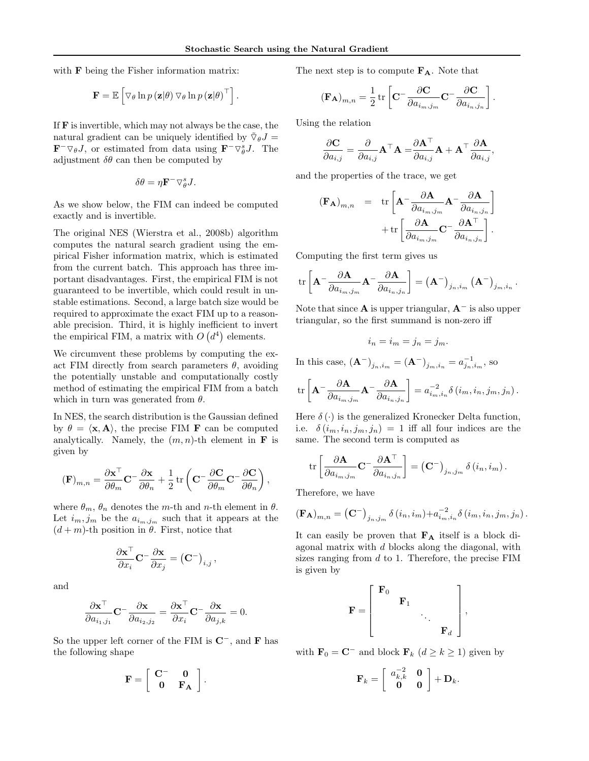with **F** being the Fisher information matrix:

$$
\mathbf{F} = \mathbb{E}\left[\nabla_{\theta} \ln p\left(\mathbf{z}|\theta\right) \nabla_{\theta} \ln p\left(\mathbf{z}|\theta\right)^{\top}\right].
$$

If  **is invertible, which may not always be the case, the** natural gradient can be uniquely identified by  $\tilde{\nabla}_{\theta}J =$  $\mathbf{F}^{-} \nabla_{\theta} J$ , or estimated from data using  $\mathbf{F}^{-} \nabla_{\theta}^{s} J$ . The adjustment  $\delta\theta$  can then be computed by

$$
\delta \theta = \eta \mathbf{F}^- \nabla_{\theta}^s J.
$$

As we show below, the FIM can indeed be computed exactly and is invertible.

The original NES (Wierstra et al., 2008b) algorithm computes the natural search gradient using the empirical Fisher information matrix, which is estimated from the current batch. This approach has three important disadvantages. First, the empirical FIM is not guaranteed to be invertible, which could result in unstable estimations. Second, a large batch size would be required to approximate the exact FIM up to a reasonable precision. Third, it is highly inefficient to invert the empirical FIM, a matrix with  $O(d^4)$  elements.

We circumvent these problems by computing the exact FIM directly from search parameters  $\theta$ , avoiding the potentially unstable and computationally costly method of estimating the empirical FIM from a batch which in turn was generated from  $\theta$ .

In NES, the search distribution is the Gaussian defined by  $\theta = \langle \mathbf{x}, \mathbf{A} \rangle$ , the precise FIM **F** can be computed analytically. Namely, the  $(m, n)$ -th element in **F** is given by

$$
\label{eq:1D1V:nonint} \left(\mathbf{F}\right)_{m,n} = \frac{\partial \mathbf{x}^\top}{\partial \theta_m} \mathbf{C}^- \frac{\partial \mathbf{x}}{\partial \theta_n} + \frac{1}{2} \operatorname{tr}\left(\mathbf{C}^- \frac{\partial \mathbf{C}}{\partial \theta_m} \mathbf{C}^- \frac{\partial \mathbf{C}}{\partial \theta_n}\right),
$$

where  $\theta_m$ ,  $\theta_n$  denotes the m-th and n-th element in  $\theta$ . Let  $i_m, j_m$  be the  $a_{i_m, j_m}$  such that it appears at the  $(d+m)$ -th position in  $\theta$ . First, notice that

$$
\frac{\partial \mathbf{x}^\top}{\partial x_i} \mathbf{C}^- \frac{\partial \mathbf{x}}{\partial x_j} = \left(\mathbf{C}^-\right)_{i,j},
$$

and

$$
\frac{\partial \mathbf{x}^{\top}}{\partial a_{i_1, j_1}} \mathbf{C}^{-} \frac{\partial \mathbf{x}}{\partial a_{i_2, j_2}} = \frac{\partial \mathbf{x}^{\top}}{\partial x_i} \mathbf{C}^{-} \frac{\partial \mathbf{x}}{\partial a_{j, k}} = 0.
$$

So the upper left corner of the FIM is  $\mathbb{C}^-$ , and **F** has the following shape

$$
\mathbf{F} = \left[ \begin{array}{cc} \mathbf{C}^- & \mathbf{0} \\ \mathbf{0} & \mathbf{F_A} \end{array} \right].
$$

The next step is to compute  $F_A$ . Note that

$$
(\mathbf{F}_{\mathbf{A}})_{m,n} = \frac{1}{2} \operatorname{tr} \left[ \mathbf{C}^{-} \frac{\partial \mathbf{C}}{\partial a_{i_m,j_m}} \mathbf{C}^{-} \frac{\partial \mathbf{C}}{\partial a_{i_n,j_n}} \right].
$$

Using the relation

$$
\frac{\partial \mathbf{C}}{\partial a_{i,j}} = \frac{\partial}{\partial a_{i,j}} \mathbf{A}^\top \mathbf{A} = \frac{\partial \mathbf{A}^\top}{\partial a_{i,j}} \mathbf{A} + \mathbf{A}^\top \frac{\partial \mathbf{A}}{\partial a_{i,j}},
$$

and the properties of the trace, we get

$$
(\mathbf{F}_{\mathbf{A}})_{m,n} = \text{tr}\left[\mathbf{A}^{-} \frac{\partial \mathbf{A}}{\partial a_{i_m,j_m}} \mathbf{A}^{-} \frac{\partial \mathbf{A}}{\partial a_{i_n,j_n}}\right] + \text{tr}\left[\frac{\partial \mathbf{A}}{\partial a_{i_m,j_m}} \mathbf{C}^{-} \frac{\partial \mathbf{A}^{T}}{\partial a_{i_n,j_n}}\right].
$$

Computing the first term gives us

$$
\operatorname{tr}\left[\mathbf{A}^{-}\frac{\partial \mathbf{A}}{\partial a_{i_m,j_m}}\mathbf{A}^{-}\frac{\partial \mathbf{A}}{\partial a_{i_n,j_n}}\right] = \left(\mathbf{A}^{-}\right)_{j_n,i_m}\left(\mathbf{A}^{-}\right)_{j_m,i_n}.
$$

Note that since **A** is upper triangular,  $A^-$  is also upper triangular, so the first summand is non-zero iff

$$
i_n = i_m = j_n = j_m.
$$

In this case,  $(A^-)_{j_n,i_m} = (A^-)_{j_m,i_n} = a_{j_n,i_m}^{-1}$ , so

$$
\operatorname{tr}\left[\mathbf{A}^{-}\frac{\partial \mathbf{A}}{\partial a_{i_m,j_m}}\mathbf{A}^{-}\frac{\partial \mathbf{A}}{\partial a_{i_n,j_n}}\right] = a_{i_m,i_n}^{-2}\delta\left(i_m,i_n,j_m,j_n\right).
$$

Here  $\delta(\cdot)$  is the generalized Kronecker Delta function, i.e.  $\delta(i_m, i_n, j_m, j_n) = 1$  iff all four indices are the same. The second term is computed as

$$
\operatorname{tr}\left[\frac{\partial \mathbf{A}}{\partial a_{i_m,j_m}}\mathbf{C}^{-}\frac{\partial \mathbf{A}^{\top}}{\partial a_{i_n,j_n}}\right] = \left(\mathbf{C}^{-}\right)_{j_n,j_m} \delta(i_n,i_m).
$$

Therefore, we have

$$
(\mathbf{F}_{\mathbf{A}})_{m,n} = (\mathbf{C}^{-})_{j_{n},j_{m}} \delta(i_{n},i_{m}) + a_{i_{m},i_{n}}^{-2} \delta(i_{m},i_{n},j_{m},j_{n}).
$$

It can easily be proven that  $\mathbf{F}_\mathbf{A}$  itself is a block diagonal matrix with d blocks along the diagonal, with sizes ranging from  $d$  to 1. Therefore, the precise  $\text{FIM}$ is given by

$$
\mathbf{F} = \left[ \begin{array}{ccc} \mathbf{F}_0 & & & \\ & \mathbf{F}_1 & & \\ & & \ddots & \\ & & & \mathbf{F}_d \end{array} \right],
$$

with  $\mathbf{F}_0 = \mathbf{C}^-$  and block  $\mathbf{F}_k$   $(d \ge k \ge 1)$  given by

$$
\mathbf{F}_k = \left[ \begin{array}{cc} a_{k,k}^{-2} & \mathbf{0} \\ \mathbf{0} & \mathbf{0} \end{array} \right] + \mathbf{D}_k.
$$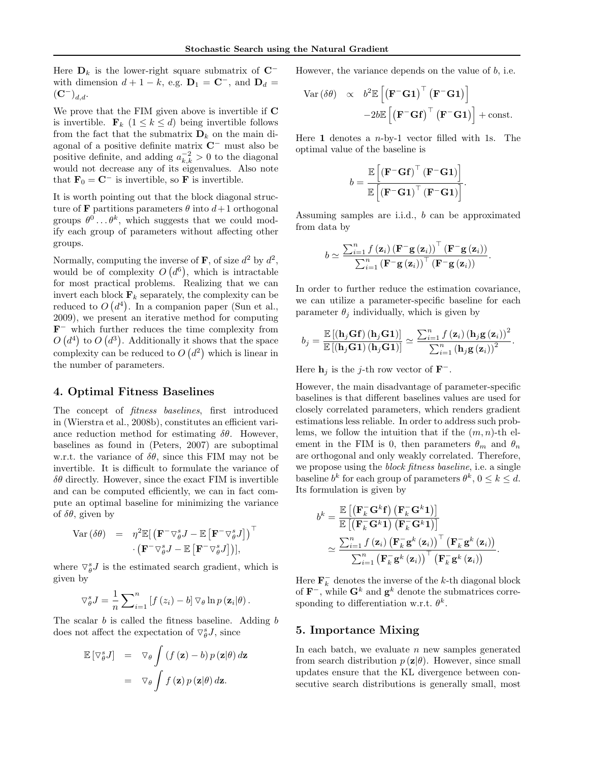Here  $D_k$  is the lower-right square submatrix of  $C^$ with dimension  $d + 1 - k$ , e.g.  $D_1 = C^-$ , and  $D_d =$  $({\bf C}^{-})_{d,d}.$ 

We prove that the FIM given above is invertible if C is invertible.  $\mathbf{F}_k$   $(1 \leq k \leq d)$  being invertible follows from the fact that the submatrix  $\mathbf{D}_k$  on the main diagonal of a positive definite matrix C<sup>−</sup> must also be positive definite, and adding  $a_{k,k}^{-2} > 0$  to the diagonal would not decrease any of its eigenvalues. Also note that  $\mathbf{F}_0 = \mathbf{C}^-$  is invertible, so **F** is invertible.

It is worth pointing out that the block diagonal structure of **F** partitions parameters  $\theta$  into  $d+1$  orthogonal groups  $\theta^0 \dots \theta^k$ , which suggests that we could modify each group of parameters without affecting other groups.

Normally, computing the inverse of **F**, of size  $d^2$  by  $d^2$ , would be of complexity  $O(d^6)$ , which is intractable for most practical problems. Realizing that we can invert each block  $\mathbf{F}_k$  separately, the complexity can be reduced to  $O(d^4)$ . In a companion paper (Sun et al., 2009), we present an iterative method for computing  $\mathbf{F}^-$  which further reduces the time complexity from  $O(d^4)$  to  $O(d^3)$ . Additionally it shows that the space complexity can be reduced to  $O(d^2)$  which is linear in the number of parameters.

## 4. Optimal Fitness Baselines

The concept of fitness baselines, first introduced in (Wierstra et al., 2008b), constitutes an efficient variance reduction method for estimating  $\delta\theta$ . However, baselines as found in (Peters, 2007) are suboptimal w.r.t. the variance of  $\delta\theta$ , since this FIM may not be invertible. It is difficult to formulate the variance of  $\delta\theta$  directly. However, since the exact FIM is invertible and can be computed efficiently, we can in fact compute an optimal baseline for minimizing the variance of  $\delta\theta$ , given by

$$
\begin{array}{rcl} \text{Var} \left( \delta \theta \right) & = & \eta^2 \mathbb{E} [ \left( \mathbf{F}^- \nabla^s_\theta J - \mathbb{E} \left[ \mathbf{F}^- \nabla^s_\theta J \right] \right)^\top \\ & \cdot \left( \mathbf{F}^- \nabla^s_\theta J - \mathbb{E} \left[ \mathbf{F}^- \nabla^s_\theta J \right] \right) ], \end{array}
$$

where  $\nabla_{\theta}^{s}J$  is the estimated search gradient, which is given by

$$
\nabla_{\theta}^{s} J = \frac{1}{n} \sum_{i=1}^{n} \left[ f(z_i) - b \right] \nabla_{\theta} \ln p(\mathbf{z}_i | \theta).
$$

The scalar b is called the fitness baseline. Adding b does not affect the expectation of  $\nabla_{\theta}^{s} J$ , since

$$
\mathbb{E} [\nabla_{\theta}^{s} J] = \nabla_{\theta} \int (f(\mathbf{z}) - b) p(\mathbf{z} | \theta) d\mathbf{z}
$$

$$
= \nabla_{\theta} \int f(\mathbf{z}) p(\mathbf{z} | \theta) d\mathbf{z}.
$$

However, the variance depends on the value of  $b$ , i.e.

$$
Var (\delta \theta) \propto b^2 \mathbb{E} \left[ \left( \mathbf{F}^- \mathbf{G} \mathbf{1} \right)^{\top} \left( \mathbf{F}^- \mathbf{G} \mathbf{1} \right) \right] - 2b \mathbb{E} \left[ \left( \mathbf{F}^- \mathbf{G} \mathbf{f} \right)^{\top} \left( \mathbf{F}^- \mathbf{G} \mathbf{1} \right) \right] + const.
$$

Here 1 denotes a  $n$ -by-1 vector filled with 1s. The optimal value of the baseline is

$$
b = \frac{\mathbb{E}\left[\left(\mathbf{F}^{-}\mathbf{G}\mathbf{f}\right)^{\top}\left(\mathbf{F}^{-}\mathbf{G}\mathbf{1}\right)\right]}{\mathbb{E}\left[\left(\mathbf{F}^{-}\mathbf{G}\mathbf{1}\right)^{\top}\left(\mathbf{F}^{-}\mathbf{G}\mathbf{1}\right)\right]}.
$$

Assuming samples are i.i.d., b can be approximated from data by

$$
b \simeq \frac{\sum_{i=1}^{n} f(\mathbf{z}_i) (\mathbf{F}^{-} \mathbf{g}(\mathbf{z}_i))^{\top} (\mathbf{F}^{-} \mathbf{g}(\mathbf{z}_i))}{\sum_{i=1}^{n} (\mathbf{F}^{-} \mathbf{g}(\mathbf{z}_i))^{\top} (\mathbf{F}^{-} \mathbf{g}(\mathbf{z}_i))}
$$

.

In order to further reduce the estimation covariance, we can utilize a parameter-specific baseline for each parameter  $\theta_i$  individually, which is given by

$$
b_j = \frac{\mathbb{E}\left[\left(\mathbf{h}_j\mathbf{G}\mathbf{f}\right)\left(\mathbf{h}_j\mathbf{G}\mathbf{1}\right)\right]}{\mathbb{E}\left[\left(\mathbf{h}_j\mathbf{G}\mathbf{1}\right)\left(\mathbf{h}_j\mathbf{G}\mathbf{1}\right)\right]} \simeq \frac{\sum_{i=1}^n f\left(\mathbf{z}_i\right)\left(\mathbf{h}_j\mathbf{g}\left(\mathbf{z}_i\right)\right)^2}{\sum_{i=1}^n \left(\mathbf{h}_j\mathbf{g}\left(\mathbf{z}_i\right)\right)^2}.
$$

Here  $\mathbf{h}_j$  is the j-th row vector of  $\mathbf{F}^-$ .

However, the main disadvantage of parameter-specific baselines is that different baselines values are used for closely correlated parameters, which renders gradient estimations less reliable. In order to address such problems, we follow the intuition that if the  $(m, n)$ -th element in the FIM is 0, then parameters  $\theta_m$  and  $\theta_n$ are orthogonal and only weakly correlated. Therefore, we propose using the *block fitness baseline*, i.e. a single baseline  $b^k$  for each group of parameters  $\theta^k$ ,  $0 \leq k \leq d$ . Its formulation is given by

$$
b^{k} = \frac{\mathbb{E}\left[\left(\mathbf{F}_{k}^{-} \mathbf{G}^{k} \mathbf{f}\right) \left(\mathbf{F}_{k}^{-} \mathbf{G}^{k} \mathbf{1}\right)\right]}{\mathbb{E}\left[\left(\mathbf{F}_{k}^{-} \mathbf{G}^{k} \mathbf{1}\right) \left(\mathbf{F}_{k}^{-} \mathbf{G}^{k} \mathbf{1}\right)\right]}
$$

$$
\simeq \frac{\sum_{i=1}^{n} f\left(\mathbf{z}_{i}\right) \left(\mathbf{F}_{k}^{-} \mathbf{g}^{k}\left(\mathbf{z}_{i}\right)\right)^{\top} \left(\mathbf{F}_{k}^{-} \mathbf{g}^{k}\left(\mathbf{z}_{i}\right)\right)}{\sum_{i=1}^{n} \left(\mathbf{F}_{k}^{-} \mathbf{g}^{k}\left(\mathbf{z}_{i}\right)\right)^{\top} \left(\mathbf{F}_{k}^{-} \mathbf{g}^{k}\left(\mathbf{z}_{i}\right)\right)}.
$$

Here  $\mathbf{F}_k^-$  denotes the inverse of the k-th diagonal block of  $\mathbf{F}^-$ , while  $\mathbf{G}^k$  and  $\mathbf{g}^k$  denote the submatrices corresponding to differentiation w.r.t.  $\theta^k$ .

#### 5. Importance Mixing

In each batch, we evaluate  $n$  new samples generated from search distribution  $p(\mathbf{z}|\theta)$ . However, since small updates ensure that the KL divergence between consecutive search distributions is generally small, most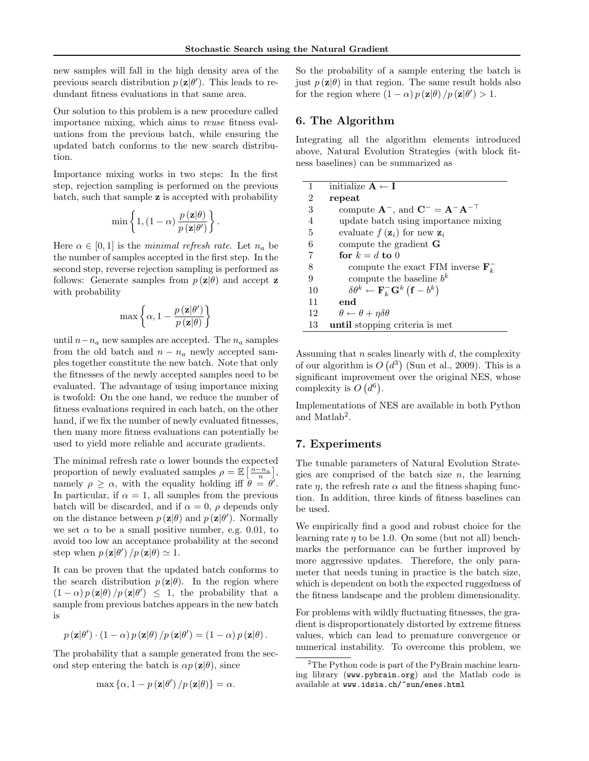new samples will fall in the high density area of the previous search distribution  $p(\mathbf{z}|\theta')$ . This leads to redundant fitness evaluations in that same area.

Our solution to this problem is a new procedure called importance mixing, which aims to reuse fitness evaluations from the previous batch, while ensuring the updated batch conforms to the new search distribution.

Importance mixing works in two steps: In the first step, rejection sampling is performed on the previous batch, such that sample z is accepted with probability

$$
\min\left\{1,(1-\alpha)\,\frac{p\left(\mathbf{z}|\theta\right)}{p\left(\mathbf{z}|\theta'\right)}\right\}
$$

.

Here  $\alpha \in [0, 1]$  is the minimal refresh rate. Let  $n_a$  be the number of samples accepted in the first step. In the second step, reverse rejection sampling is performed as follows: Generate samples from  $p(\mathbf{z}|\theta)$  and accept **z** with probability

$$
\max\left\{\alpha,1-\frac{p\left(\mathbf{z}\middle|\theta'\right)}{p\left(\mathbf{z}\middle|\theta\right)}\right\}
$$

until  $n-n_a$  new samples are accepted. The  $n_a$  samples from the old batch and  $n - n_a$  newly accepted samples together constitute the new batch. Note that only the fitnesses of the newly accepted samples need to be evaluated. The advantage of using importance mixing is twofold: On the one hand, we reduce the number of fitness evaluations required in each batch, on the other hand, if we fix the number of newly evaluated fitnesses, then many more fitness evaluations can potentially be used to yield more reliable and accurate gradients.

The minimal refresh rate  $\alpha$  lower bounds the expected proportion of newly evaluated samples  $\rho = \mathbb{E}\left[\frac{n-n_a}{n}\right],$ namely  $\rho \geq \alpha$ , with the equality holding iff  $\theta = \theta'$ . In particular, if  $\alpha = 1$ , all samples from the previous batch will be discarded, and if  $\alpha = 0$ ,  $\rho$  depends only on the distance between  $p(\mathbf{z}|\theta)$  and  $p(\mathbf{z}|\theta')$ . Normally we set  $\alpha$  to be a small positive number, e.g. 0.01, to avoid too low an acceptance probability at the second step when  $p(\mathbf{z}|\theta')/p(\mathbf{z}|\theta) \simeq 1$ .

It can be proven that the updated batch conforms to the search distribution  $p(\mathbf{z}|\theta)$ . In the region where  $(1 - \alpha) p(\mathbf{z}|\theta) / p(\mathbf{z}|\theta') \leq 1$ , the probability that a sample from previous batches appears in the new batch is

$$
p(\mathbf{z}|\theta') \cdot (1-\alpha) p(\mathbf{z}|\theta) / p(\mathbf{z}|\theta') = (1-\alpha) p(\mathbf{z}|\theta).
$$

The probability that a sample generated from the second step entering the batch is  $\alpha p(\mathbf{z}|\theta)$ , since

$$
\max \left\{ \alpha, 1 - p\left(\mathbf{z}|\theta'\right) / p\left(\mathbf{z}|\theta\right) \right\} = \alpha.
$$

So the probability of a sample entering the batch is just  $p(\mathbf{z}|\theta)$  in that region. The same result holds also for the region where  $(1 - \alpha) p(\mathbf{z}|\theta) / p(\mathbf{z}|\theta') > 1$ .

# 6. The Algorithm

Integrating all the algorithm elements introduced above, Natural Evolution Strategies (with block fitness baselines) can be summarized as

| 1              | initialize $A \leftarrow I$                                                              |
|----------------|------------------------------------------------------------------------------------------|
| $\overline{2}$ | repeat                                                                                   |
| 3              | compute $\mathbf{A}^-$ , and $\mathbf{C}^- = \mathbf{A}^- \mathbf{A}^{-\top}$            |
| 4              | update batch using importance mixing                                                     |
| 5              | evaluate $f(\mathbf{z}_i)$ for new $\mathbf{z}_i$                                        |
| 6              | compute the gradient $G$                                                                 |
| 7              | for $k = d$ to 0                                                                         |
| 8              | compute the exact FIM inverse $\mathbf{F}_k^-$                                           |
| 9              | compute the baseline $b^k$                                                               |
| 10             | $\delta \theta^k \leftarrow \mathbf{F}_k^- \mathbf{G}^k \left( \mathbf{f} - b^k \right)$ |
| 11             | end                                                                                      |
| 12             | $\theta \leftarrow \theta + \eta \delta \theta$                                          |
| 13             | until stopping criteria is met                                                           |

Assuming that  $n$  scales linearly with  $d$ , the complexity of our algorithm is  $O(d^3)$  (Sun et al., 2009). This is a significant improvement over the original NES, whose complexity is  $O(d^6)$ .

Implementations of NES are available in both Python and Matlab<sup>2</sup>.

# 7. Experiments

The tunable parameters of Natural Evolution Strategies are comprised of the batch size  $n$ , the learning rate  $\eta$ , the refresh rate  $\alpha$  and the fitness shaping function. In addition, three kinds of fitness baselines can be used.

We empirically find a good and robust choice for the learning rate  $\eta$  to be 1.0. On some (but not all) benchmarks the performance can be further improved by more aggressive updates. Therefore, the only parameter that needs tuning in practice is the batch size, which is dependent on both the expected ruggedness of the fitness landscape and the problem dimensionality.

For problems with wildly fluctuating fitnesses, the gradient is disproportionately distorted by extreme fitness values, which can lead to premature convergence or numerical instability. To overcome this problem, we

<sup>&</sup>lt;sup>2</sup>The Python code is part of the PyBrain machine learning library (www.pybrain.org) and the Matlab code is available at www.idsia.ch/~sun/enes.html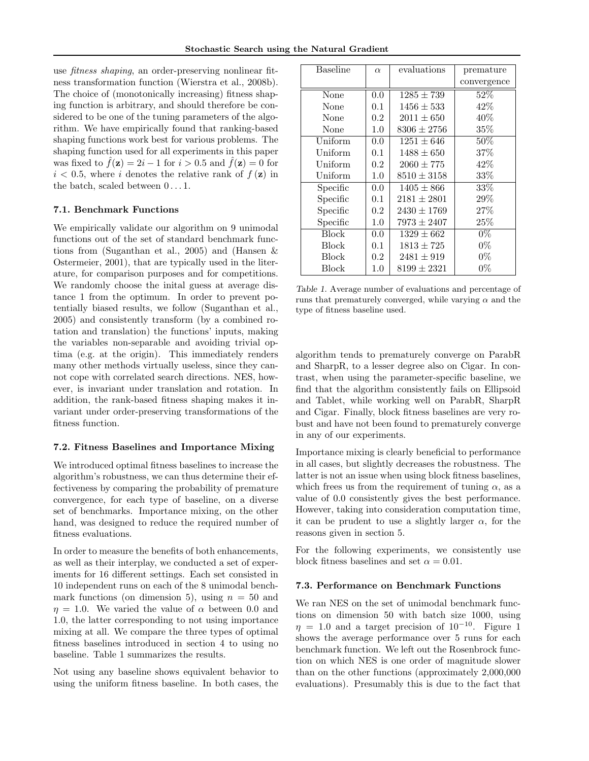use fitness shaping, an order-preserving nonlinear fitness transformation function (Wierstra et al., 2008b). The choice of (monotonically increasing) fitness shaping function is arbitrary, and should therefore be considered to be one of the tuning parameters of the algorithm. We have empirically found that ranking-based shaping functions work best for various problems. The shaping function used for all experiments in this paper was fixed to  $\ddot{f}(\mathbf{z}) = 2i - 1$  for  $i > 0.5$  and  $\ddot{f}(\mathbf{z}) = 0$  for  $i < 0.5$ , where i denotes the relative rank of  $f(\mathbf{z})$  in the batch, scaled between  $0 \ldots 1$ .

### 7.1. Benchmark Functions

We empirically validate our algorithm on 9 unimodal functions out of the set of standard benchmark functions from (Suganthan et al., 2005) and (Hansen & Ostermeier, 2001), that are typically used in the literature, for comparison purposes and for competitions. We randomly choose the inital guess at average distance 1 from the optimum. In order to prevent potentially biased results, we follow (Suganthan et al., 2005) and consistently transform (by a combined rotation and translation) the functions' inputs, making the variables non-separable and avoiding trivial optima (e.g. at the origin). This immediately renders many other methods virtually useless, since they cannot cope with correlated search directions. NES, however, is invariant under translation and rotation. In addition, the rank-based fitness shaping makes it invariant under order-preserving transformations of the fitness function.

#### 7.2. Fitness Baselines and Importance Mixing

We introduced optimal fitness baselines to increase the algorithm's robustness, we can thus determine their effectiveness by comparing the probability of premature convergence, for each type of baseline, on a diverse set of benchmarks. Importance mixing, on the other hand, was designed to reduce the required number of fitness evaluations.

In order to measure the benefits of both enhancements, as well as their interplay, we conducted a set of experiments for 16 different settings. Each set consisted in 10 independent runs on each of the 8 unimodal benchmark functions (on dimension 5), using  $n = 50$  and  $\eta = 1.0$ . We varied the value of  $\alpha$  between 0.0 and 1.0, the latter corresponding to not using importance mixing at all. We compare the three types of optimal fitness baselines introduced in section 4 to using no baseline. Table 1 summarizes the results.

Not using any baseline shows equivalent behavior to using the uniform fitness baseline. In both cases, the

| <b>Baseline</b> | $\alpha$ | evaluations     | premature   |
|-----------------|----------|-----------------|-------------|
|                 |          |                 | convergence |
| None            | 0.0      | $1285 \pm 739$  | 52%         |
| None            | 0.1      | $1456 \pm 533$  | 42%         |
| None            | 0.2      | $2011 \pm 650$  | 40%         |
| None            | 1.0      | $8306 \pm 2756$ | $35\%$      |
| Uniform         | 0.0      | $1251 \pm 646$  | $50\%$      |
| Uniform         | 0.1      | $1488 \pm 650$  | 37%         |
| Uniform         | 0.2      | $2060 \pm 775$  | 42%         |
| Uniform         | 1.0      | $8510 \pm 3158$ | 33%         |
| Specific        | 0.0      | $1405 \pm 866$  | 33\%        |
| Specific        | 0.1      | $2181 \pm 2801$ | 29%         |
| Specific        | 0.2      | $2430 \pm 1769$ | 27%         |
| Specific        | 1.0      | $7973 \pm 2407$ | 25%         |
| <b>Block</b>    | 0.0      | $1329 \pm 662$  | $0\%$       |
| Block           | 0.1      | $1813 \pm 725$  | $0\%$       |
| Block           | 0.2      | $2481 \pm 919$  | $0\%$       |
| Block           | 1.0      | $8199 \pm 2321$ | $0\%$       |

Table 1. Average number of evaluations and percentage of runs that prematurely converged, while varying  $\alpha$  and the type of fitness baseline used.

algorithm tends to prematurely converge on ParabR and SharpR, to a lesser degree also on Cigar. In contrast, when using the parameter-specific baseline, we find that the algorithm consistently fails on Ellipsoid and Tablet, while working well on ParabR, SharpR and Cigar. Finally, block fitness baselines are very robust and have not been found to prematurely converge in any of our experiments.

Importance mixing is clearly beneficial to performance in all cases, but slightly decreases the robustness. The latter is not an issue when using block fitness baselines, which frees us from the requirement of tuning  $\alpha$ , as a value of 0.0 consistently gives the best performance. However, taking into consideration computation time, it can be prudent to use a slightly larger  $\alpha$ , for the reasons given in section 5.

For the following experiments, we consistently use block fitness baselines and set  $\alpha = 0.01$ .

#### 7.3. Performance on Benchmark Functions

We ran NES on the set of unimodal benchmark functions on dimension 50 with batch size 1000, using  $\eta = 1.0$  and a target precision of 10<sup>-10</sup>. Figure 1 shows the average performance over 5 runs for each benchmark function. We left out the Rosenbrock function on which NES is one order of magnitude slower than on the other functions (approximately 2,000,000 evaluations). Presumably this is due to the fact that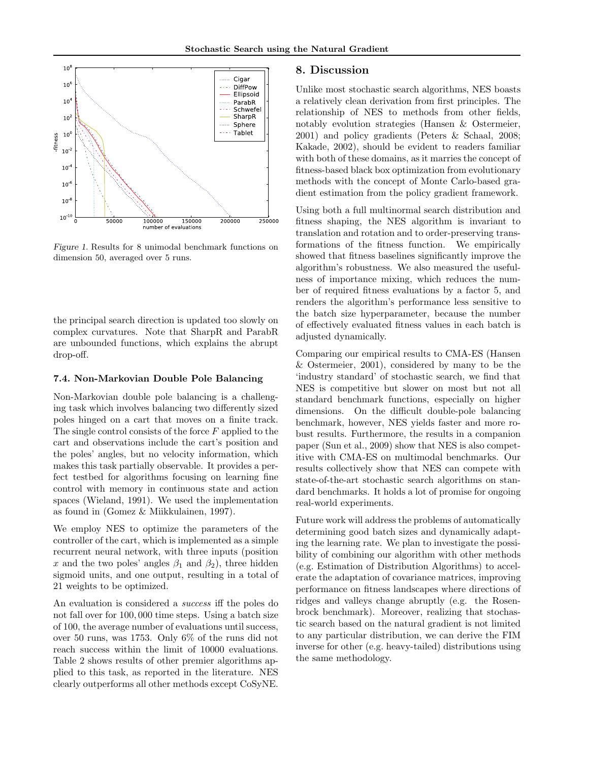

Figure 1. Results for 8 unimodal benchmark functions on dimension 50, averaged over 5 runs.

the principal search direction is updated too slowly on complex curvatures. Note that SharpR and ParabR are unbounded functions, which explains the abrupt drop-off.

# 7.4. Non-Markovian Double Pole Balancing

Non-Markovian double pole balancing is a challenging task which involves balancing two differently sized poles hinged on a cart that moves on a finite track. The single control consists of the force  $F$  applied to the cart and observations include the cart's position and the poles' angles, but no velocity information, which makes this task partially observable. It provides a perfect testbed for algorithms focusing on learning fine control with memory in continuous state and action spaces (Wieland, 1991). We used the implementation as found in (Gomez & Miikkulainen, 1997).

We employ NES to optimize the parameters of the controller of the cart, which is implemented as a simple recurrent neural network, with three inputs (position x and the two poles' angles  $\beta_1$  and  $\beta_2$ ), three hidden sigmoid units, and one output, resulting in a total of 21 weights to be optimized.

An evaluation is considered a success iff the poles do not fall over for 100, 000 time steps. Using a batch size of 100, the average number of evaluations until success, over 50 runs, was 1753. Only 6% of the runs did not reach success within the limit of 10000 evaluations. Table 2 shows results of other premier algorithms applied to this task, as reported in the literature. NES clearly outperforms all other methods except CoSyNE.

### 8. Discussion

Unlike most stochastic search algorithms, NES boasts a relatively clean derivation from first principles. The relationship of NES to methods from other fields, notably evolution strategies (Hansen & Ostermeier, 2001) and policy gradients (Peters & Schaal, 2008; Kakade, 2002), should be evident to readers familiar with both of these domains, as it marries the concept of fitness-based black box optimization from evolutionary methods with the concept of Monte Carlo-based gradient estimation from the policy gradient framework.

Using both a full multinormal search distribution and fitness shaping, the NES algorithm is invariant to translation and rotation and to order-preserving transformations of the fitness function. We empirically showed that fitness baselines significantly improve the algorithm's robustness. We also measured the usefulness of importance mixing, which reduces the number of required fitness evaluations by a factor 5, and renders the algorithm's performance less sensitive to the batch size hyperparameter, because the number of effectively evaluated fitness values in each batch is adjusted dynamically.

Comparing our empirical results to CMA-ES (Hansen & Ostermeier, 2001), considered by many to be the 'industry standard' of stochastic search, we find that NES is competitive but slower on most but not all standard benchmark functions, especially on higher dimensions. On the difficult double-pole balancing benchmark, however, NES yields faster and more robust results. Furthermore, the results in a companion paper (Sun et al., 2009) show that NES is also competitive with CMA-ES on multimodal benchmarks. Our results collectively show that NES can compete with state-of-the-art stochastic search algorithms on standard benchmarks. It holds a lot of promise for ongoing real-world experiments.

Future work will address the problems of automatically determining good batch sizes and dynamically adapting the learning rate. We plan to investigate the possibility of combining our algorithm with other methods (e.g. Estimation of Distribution Algorithms) to accelerate the adaptation of covariance matrices, improving performance on fitness landscapes where directions of ridges and valleys change abruptly (e.g. the Rosenbrock benchmark). Moreover, realizing that stochastic search based on the natural gradient is not limited to any particular distribution, we can derive the FIM inverse for other (e.g. heavy-tailed) distributions using the same methodology.